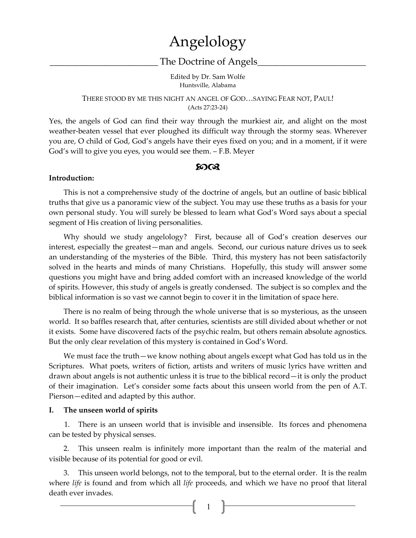# Angelology

# The Doctrine of Angels

Edited by Dr. Sam Wolfe Huntsville, Alabama

#### THERE STOOD BY ME THIS NIGHT AN ANGEL OF GOD…SAYING FEAR NOT, PAUL! (Acts 27:23-24)

Yes, the angels of God can find their way through the murkiest air, and alight on the most weather-beaten vessel that ever ploughed its difficult way through the stormy seas. Wherever you are, O child of God, God's angels have their eyes fixed on you; and in a moment, if it were God's will to give you eyes, you would see them. – F.B. Meyer

#### $20 \text{°}$

#### **Introduction:**

 This is not a comprehensive study of the doctrine of angels, but an outline of basic biblical truths that give us a panoramic view of the subject. You may use these truths as a basis for your own personal study. You will surely be blessed to learn what God's Word says about a special segment of His creation of living personalities.

 Why should we study angelology? First, because all of God's creation deserves our interest, especially the greatest—man and angels. Second, our curious nature drives us to seek an understanding of the mysteries of the Bible. Third, this mystery has not been satisfactorily solved in the hearts and minds of many Christians. Hopefully, this study will answer some questions you might have and bring added comfort with an increased knowledge of the world of spirits. However, this study of angels is greatly condensed. The subject is so complex and the biblical information is so vast we cannot begin to cover it in the limitation of space here.

 There is no realm of being through the whole universe that is so mysterious, as the unseen world. It so baffles research that, after centuries, scientists are still divided about whether or not it exists. Some have discovered facts of the psychic realm, but others remain absolute agnostics. But the only clear revelation of this mystery is contained in God's Word.

 We must face the truth—we know nothing about angels except what God has told us in the Scriptures. What poets, writers of fiction, artists and writers of music lyrics have written and drawn about angels is not authentic unless it is true to the biblical record—it is only the product of their imagination. Let's consider some facts about this unseen world from the pen of A.T. Pierson—edited and adapted by this author.

#### **I. The unseen world of spirits**

1. There is an unseen world that is invisible and insensible. Its forces and phenomena can be tested by physical senses.

 2. This unseen realm is infinitely more important than the realm of the material and visible because of its potential for good or evil.

 3. This unseen world belongs, not to the temporal, but to the eternal order. It is the realm where *life* is found and from which all *life* proceeds, and which we have no proof that literal death ever invades.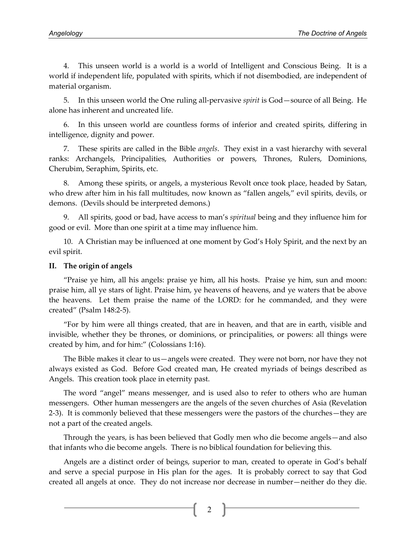4. This unseen world is a world is a world of Intelligent and Conscious Being. It is a world if independent life, populated with spirits, which if not disembodied, are independent of material organism.

 5. In this unseen world the One ruling all-pervasive *spirit* is God—source of all Being. He alone has inherent and uncreated life.

 6. In this unseen world are countless forms of inferior and created spirits, differing in intelligence, dignity and power.

 7. These spirits are called in the Bible *angels*. They exist in a vast hierarchy with several ranks: Archangels, Principalities, Authorities or powers, Thrones, Rulers, Dominions, Cherubim, Seraphim, Spirits, etc.

 8. Among these spirits, or angels, a mysterious Revolt once took place, headed by Satan, who drew after him in his fall multitudes, now known as "fallen angels," evil spirits, devils, or demons. (Devils should be interpreted demons.)

 9. All spirits, good or bad, have access to man's *spiritual* being and they influence him for good or evil. More than one spirit at a time may influence him.

 10. A Christian may be influenced at one moment by God's Holy Spirit, and the next by an evil spirit.

#### **II. The origin of angels**

 "Praise ye him, all his angels: praise ye him, all his hosts. Praise ye him, sun and moon: praise him, all ye stars of light. Praise him, ye heavens of heavens, and ye waters that be above the heavens. Let them praise the name of the LORD: for he commanded, and they were created" (Psalm 148:2-5).

"For by him were all things created, that are in heaven, and that are in earth, visible and invisible, whether they be thrones, or dominions, or principalities, or powers: all things were created by him, and for him:" (Colossians 1:16).

The Bible makes it clear to us—angels were created. They were not born, nor have they not always existed as God. Before God created man, He created myriads of beings described as Angels. This creation took place in eternity past.

 The word "angel" means messenger, and is used also to refer to others who are human messengers. Other human messengers are the angels of the seven churches of Asia (Revelation 2-3). It is commonly believed that these messengers were the pastors of the churches—they are not a part of the created angels.

 Through the years, is has been believed that Godly men who die become angels—and also that infants who die become angels. There is no biblical foundation for believing this.

 Angels are a distinct order of beings, superior to man, created to operate in God's behalf and serve a special purpose in His plan for the ages. It is probably correct to say that God created all angels at once. They do not increase nor decrease in number—neither do they die.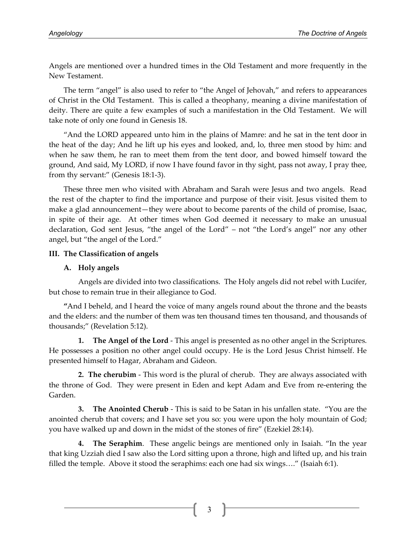Angels are mentioned over a hundred times in the Old Testament and more frequently in the New Testament.

 The term "angel" is also used to refer to "the Angel of Jehovah," and refers to appearances of Christ in the Old Testament. This is called a theophany, meaning a divine manifestation of deity. There are quite a few examples of such a manifestation in the Old Testament. We will take note of only one found in Genesis 18.

 "And the LORD appeared unto him in the plains of Mamre: and he sat in the tent door in the heat of the day; And he lift up his eyes and looked, and, lo, three men stood by him: and when he saw them, he ran to meet them from the tent door, and bowed himself toward the ground, And said, My LORD, if now I have found favor in thy sight, pass not away, I pray thee, from thy servant:" (Genesis 18:1-3).

 These three men who visited with Abraham and Sarah were Jesus and two angels. Read the rest of the chapter to find the importance and purpose of their visit. Jesus visited them to make a glad announcement—they were about to become parents of the child of promise, Isaac, in spite of their age. At other times when God deemed it necessary to make an unusual declaration, God sent Jesus, "the angel of the Lord" – not "the Lord's angel" nor any other angel, but "the angel of the Lord."

## **III. The Classification of angels**

## **A. Holy angels**

Angels are divided into two classifications. The Holy angels did not rebel with Lucifer, but chose to remain true in their allegiance to God.

 **"**And I beheld, and I heard the voice of many angels round about the throne and the beasts and the elders: and the number of them was ten thousand times ten thousand, and thousands of thousands;" (Revelation 5:12).

**1. The Angel of the Lord** - This angel is presented as no other angel in the Scriptures. He possesses a position no other angel could occupy. He is the Lord Jesus Christ himself. He presented himself to Hagar, Abraham and Gideon.

**2. The cherubim** - This word is the plural of cherub. They are always associated with the throne of God. They were present in Eden and kept Adam and Eve from re-entering the Garden.

**3. The Anointed Cherub** - This is said to be Satan in his unfallen state. "You are the anointed cherub that covers; and I have set you so: you were upon the holy mountain of God; you have walked up and down in the midst of the stones of fire" (Ezekiel 28:14).

**4. The Seraphim**. These angelic beings are mentioned only in Isaiah. "In the year that king Uzziah died I saw also the Lord sitting upon a throne, high and lifted up, and his train filled the temple. Above it stood the seraphims: each one had six wings…." (Isaiah 6:1).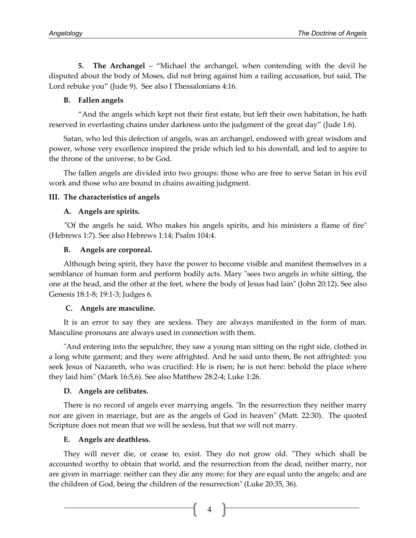**5. The Archangel** – "Michael the archangel, when contending with the devil he disputed about the body of Moses, did not bring against him a railing accusation, but said, The Lord rebuke you" (Jude 9). See also I Thessalonians 4:16.

# **B. Fallen angels**

 "And the angels which kept not their first estate, but left their own habitation, he hath reserved in everlasting chains under darkness unto the judgment of the great day" (Jude 1:6).

Satan, who led this defection of angels, was an archangel, endowed with great wisdom and power, whose very excellence inspired the pride which led to his downfall, and led to aspire to the throne of the universe, to be God.

The fallen angels are divided into two groups: those who are free to serve Satan in his evil work and those who are bound in chains awaiting judgment.

## **III. The characteristics of angels**

## **A. Angels are spirits.**

*"*Of the angels he said, Who makes his angels spirits, and his ministers a flame of fire" (Hebrews 1:7). See also Hebrews 1:14; Psalm 104:4.

## **B. Angels are corporeal.**

Although being spirit, they have the power to become visible and manifest themselves in a semblance of human form and perform bodily acts. Mary "sees two angels in white sitting, the one at the head, and the other at the feet, where the body of Jesus had lain" (John 20:12). See also Genesis 18:1-8; 19:1-3; Judges 6.

# **C.****Angels are masculine.**

It is an error to say they are sexless. They are always manifested in the form of man. Masculine pronouns are always used in connection with them.

"And entering into the sepulchre, they saw a young man sitting on the right side, clothed in a long white garment; and they were affrighted. And he said unto them, Be not affrighted: you seek Jesus of Nazareth, who was crucified: He is risen; he is not here: behold the place where they laid him" (Mark 16:5,6). See also Matthew 28:2-4; Luke 1:26.

# **D. Angels are celibates.**

There is no record of angels ever marrying angels. "In the resurrection they neither marry nor are given in marriage, but are as the angels of God in heaven" (Matt. 22:30). The quoted Scripture does not mean that we will be sexless, but that we will not marry.

# **E. Angels are deathless.**

They will never die, or cease to, exist. They do not grow old. "They which shall be accounted worthy to obtain that world, and the resurrection from the dead, neither marry, nor are given in marriage: neither can they die any more: for they are equal unto the angels; and are the children of God, being the children of the resurrection" (Luke 20:35, 36).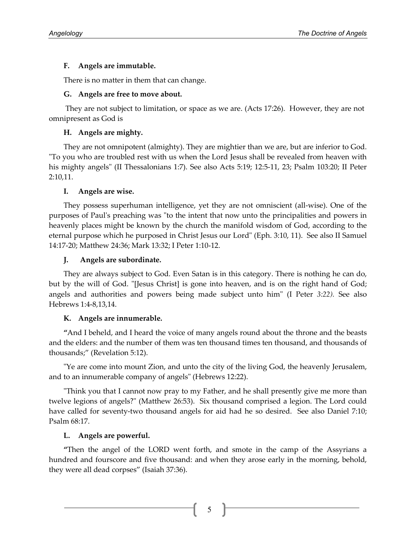## **F. Angels are immutable.**

There is no matter in them that can change.

## **G. Angels are free to move about.**

They are not subject to limitation, or space as we are. (Acts 17:26). However, they are not omnipresent as God is

# **H. Angels are mighty.**

They are not omnipotent (almighty). They are mightier than we are, but are inferior to God. "To you who are troubled rest with us when the Lord Jesus shall be revealed from heaven with his mighty angels" (II Thessalonians 1:7). See also Acts 5:19; 12:5-11, 23; Psalm 103:20; II Peter 2:10,11.

## **I. Angels are wise.**

They possess superhuman intelligence, yet they are not omniscient (all-wise). One of the purposes of Paul's preaching was "to the intent that now unto the principalities and powers in heavenly places might be known by the church the manifold wisdom of God, according to the eternal purpose which he purposed in Christ Jesus our Lord" (Eph. 3:10, 11). See also II Samuel 14:17-20; Matthew 24:36; Mark 13:32; I Peter 1:10-12.

## **J. Angels are subordinate.**

They are always subject to God. Even Satan is in this category. There is nothing he can do, but by the will of God. "[Jesus Christ] is gone into heaven, and is on the right hand of God; angels and authorities and powers being made subject unto him" (I Peter *3:22).* See also Hebrews 1:4-8,13,14.

# **K. Angels are innumerable.**

**"**And I beheld, and I heard the voice of many angels round about the throne and the beasts and the elders: and the number of them was ten thousand times ten thousand, and thousands of thousands;" (Revelation 5:12).

"Ye are come into mount Zion, and unto the city of the living God, the heavenly Jerusalem, and to an innumerable company of angels" (Hebrews 12:22).

"Think you that I cannot now pray to my Father, and he shall presently give me more than twelve legions of angels?" (Matthew 26:53). Six thousand comprised a legion. The Lord could have called for seventy-two thousand angels for aid had he so desired. See also Daniel 7:10; Psalm 68:17.

# **L. Angels are powerful.**

**"**Then the angel of the LORD went forth, and smote in the camp of the Assyrians a hundred and fourscore and five thousand: and when they arose early in the morning, behold, they were all dead corpses" (Isaiah 37:36).